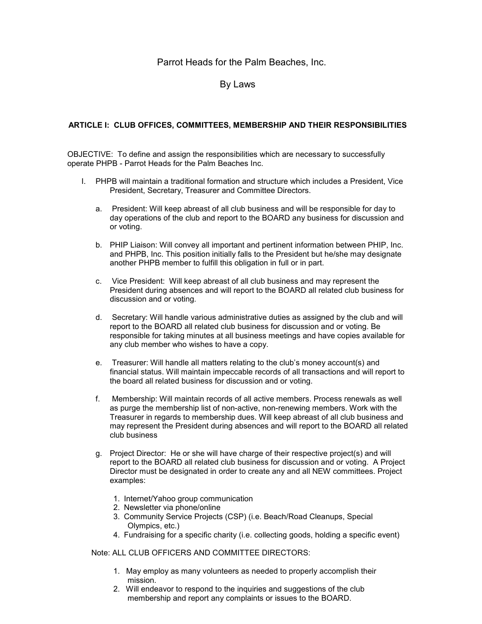# Parrot Heads for the Palm Beaches, Inc.

# By Laws

# **ARTICLE I: CLUB OFFICES, COMMITTEES, MEMBERSHIP AND THEIR RESPONSIBILITIES**

OBJECTIVE: To define and assign the responsibilities which are necessary to successfully operate PHPB - Parrot Heads for the Palm Beaches Inc.

- I. PHPB will maintain a traditional formation and structure which includes a President, Vice President, Secretary, Treasurer and Committee Directors.
	- a. President: Will keep abreast of all club business and will be responsible for day to day operations of the club and report to the BOARD any business for discussion and or voting.
	- b. PHIP Liaison: Will convey all important and pertinent information between PHIP, Inc. and PHPB, Inc. This position initially falls to the President but he/she may designate another PHPB member to fulfill this obligation in full or in part.
	- c. Vice President: Will keep abreast of all club business and may represent the President during absences and will report to the BOARD all related club business for discussion and or voting.
	- d. Secretary: Will handle various administrative duties as assigned by the club and will report to the BOARD all related club business for discussion and or voting. Be responsible for taking minutes at all business meetings and have copies available for any club member who wishes to have a copy.
	- e. Treasurer: Will handle all matters relating to the club's money account(s) and financial status. Will maintain impeccable records of all transactions and will report to the board all related business for discussion and or voting.
	- f. Membership: Will maintain records of all active members. Process renewals as well as purge the membership list of non-active, non-renewing members. Work with the Treasurer in regards to membership dues. Will keep abreast of all club business and may represent the President during absences and will report to the BOARD all related club business
	- g. Project Director: He or she will have charge of their respective project(s) and will report to the BOARD all related club business for discussion and or voting. A Project Director must be designated in order to create any and all NEW committees. Project examples:
		- 1. Internet/Yahoo group communication
		- 2. Newsletter via phone/online
		- 3. Community Service Projects (CSP) (i.e. Beach/Road Cleanups, Special Olympics, etc.)
		- 4. Fundraising for a specific charity (i.e. collecting goods, holding a specific event)

Note: ALL CLUB OFFICERS AND COMMITTEE DIRECTORS:

- 1. May employ as many volunteers as needed to properly accomplish their mission.
- 2. Will endeavor to respond to the inquiries and suggestions of the club membership and report any complaints or issues to the BOARD.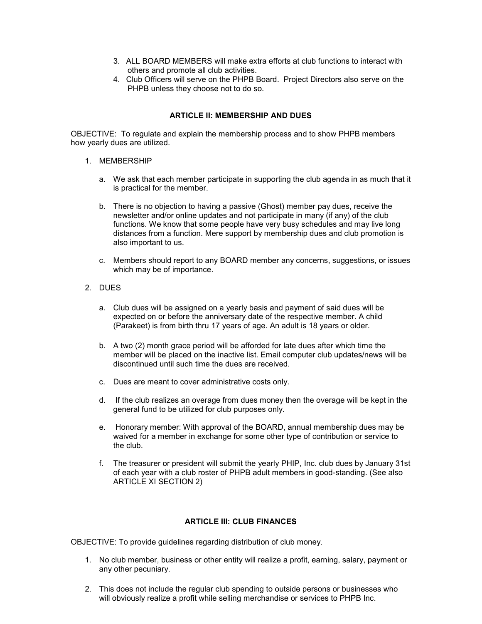- 3. ALL BOARD MEMBERS will make extra efforts at club functions to interact with others and promote all club activities.
- 4. Club Officers will serve on the PHPB Board. Project Directors also serve on the PHPB unless they choose not to do so.

# **ARTICLE II: MEMBERSHIP AND DUES**

OBJECTIVE: To regulate and explain the membership process and to show PHPB members how yearly dues are utilized.

- 1. MEMBERSHIP
	- a. We ask that each member participate in supporting the club agenda in as much that it is practical for the member.
	- b. There is no objection to having a passive (Ghost) member pay dues, receive the newsletter and/or online updates and not participate in many (if any) of the club functions. We know that some people have very busy schedules and may live long distances from a function. Mere support by membership dues and club promotion is also important to us.
	- c. Members should report to any BOARD member any concerns, suggestions, or issues which may be of importance.
- 2. DUES
	- a. Club dues will be assigned on a yearly basis and payment of said dues will be expected on or before the anniversary date of the respective member. A child (Parakeet) is from birth thru 17 years of age. An adult is 18 years or older.
	- b. A two (2) month grace period will be afforded for late dues after which time the member will be placed on the inactive list. Email computer club updates/news will be discontinued until such time the dues are received.
	- c. Dues are meant to cover administrative costs only.
	- d. If the club realizes an overage from dues money then the overage will be kept in the general fund to be utilized for club purposes only.
	- e. Honorary member: With approval of the BOARD, annual membership dues may be waived for a member in exchange for some other type of contribution or service to the club.
	- f. The treasurer or president will submit the yearly PHIP, Inc. club dues by January 31st of each year with a club roster of PHPB adult members in good-standing. (See also ARTICLE XI SECTION 2)

# **ARTICLE III: CLUB FINANCES**

OBJECTIVE: To provide guidelines regarding distribution of club money.

- 1. No club member, business or other entity will realize a profit, earning, salary, payment or any other pecuniary.
- 2. This does not include the regular club spending to outside persons or businesses who will obviously realize a profit while selling merchandise or services to PHPB Inc.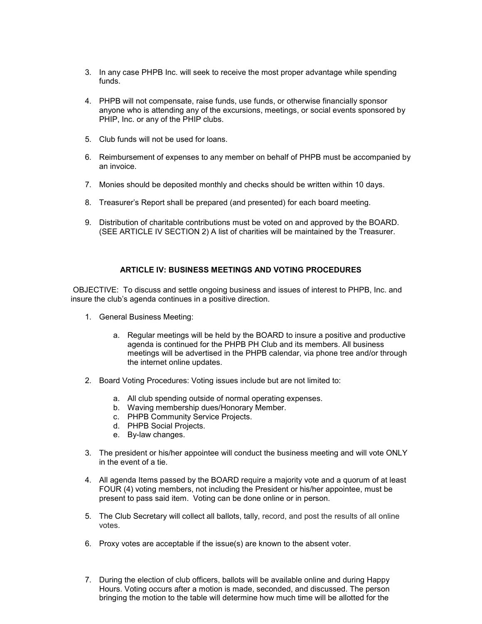- 3. In any case PHPB Inc. will seek to receive the most proper advantage while spending funds.
- 4. PHPB will not compensate, raise funds, use funds, or otherwise financially sponsor anyone who is attending any of the excursions, meetings, or social events sponsored by PHIP, Inc. or any of the PHIP clubs.
- 5. Club funds will not be used for loans.
- 6. Reimbursement of expenses to any member on behalf of PHPB must be accompanied by an invoice.
- 7. Monies should be deposited monthly and checks should be written within 10 days.
- 8. Treasurer's Report shall be prepared (and presented) for each board meeting.
- 9. Distribution of charitable contributions must be voted on and approved by the BOARD. (SEE ARTICLE IV SECTION 2) A list of charities will be maintained by the Treasurer.

#### **ARTICLE IV: BUSINESS MEETINGS AND VOTING PROCEDURES**

 OBJECTIVE: To discuss and settle ongoing business and issues of interest to PHPB, Inc. and insure the club's agenda continues in a positive direction.

- 1. General Business Meeting:
	- a. Regular meetings will be held by the BOARD to insure a positive and productive agenda is continued for the PHPB PH Club and its members. All business meetings will be advertised in the PHPB calendar, via phone tree and/or through the internet online updates.
- 2. Board Voting Procedures: Voting issues include but are not limited to:
	- a. All club spending outside of normal operating expenses.
	- b. Waving membership dues/Honorary Member.
	- c. PHPB Community Service Projects.
	- d. PHPB Social Projects.
	- e. By-law changes.
- 3. The president or his/her appointee will conduct the business meeting and will vote ONLY in the event of a tie.
- 4. All agenda Items passed by the BOARD require a majority vote and a quorum of at least FOUR (4) voting members, not including the President or his/her appointee, must be present to pass said item. Voting can be done online or in person.
- 5. The Club Secretary will collect all ballots, tally, record, and post the results of all online votes.
- 6. Proxy votes are acceptable if the issue(s) are known to the absent voter.
- 7. During the election of club officers, ballots will be available online and during Happy Hours. Voting occurs after a motion is made, seconded, and discussed. The person bringing the motion to the table will determine how much time will be allotted for the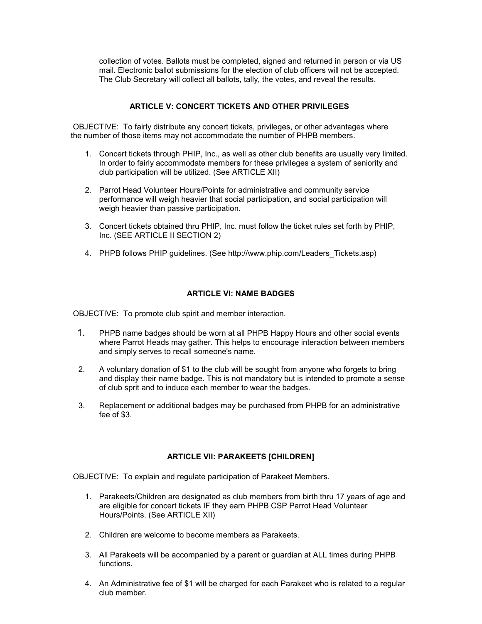collection of votes. Ballots must be completed, signed and returned in person or via US mail. Electronic ballot submissions for the election of club officers will not be accepted. The Club Secretary will collect all ballots, tally, the votes, and reveal the results.

# **ARTICLE V: CONCERT TICKETS AND OTHER PRIVILEGES**

 OBJECTIVE: To fairly distribute any concert tickets, privileges, or other advantages where the number of those items may not accommodate the number of PHPB members.

- 1. Concert tickets through PHIP, Inc., as well as other club benefits are usually very limited. In order to fairly accommodate members for these privileges a system of seniority and club participation will be utilized. (See ARTICLE XII)
- 2. Parrot Head Volunteer Hours/Points for administrative and community service performance will weigh heavier that social participation, and social participation will weigh heavier than passive participation.
- 3. Concert tickets obtained thru PHIP, Inc. must follow the ticket rules set forth by PHIP, Inc. (SEE ARTICLE II SECTION 2)
- 4. PHPB follows PHIP guidelines. (See http://www.phip.com/Leaders\_Tickets.asp)

#### **ARTICLE VI: NAME BADGES**

OBJECTIVE: To promote club spirit and member interaction.

- 1. PHPB name badges should be worn at all PHPB Happy Hours and other social events where Parrot Heads may gather. This helps to encourage interaction between members and simply serves to recall someone's name.
- 2. A voluntary donation of \$1 to the club will be sought from anyone who forgets to bring and display their name badge. This is not mandatory but is intended to promote a sense of club sprit and to induce each member to wear the badges.
- 3. Replacement or additional badges may be purchased from PHPB for an administrative fee of \$3.

#### **ARTICLE VII: PARAKEETS [CHILDREN]**

OBJECTIVE: To explain and regulate participation of Parakeet Members.

- 1. Parakeets/Children are designated as club members from birth thru 17 years of age and are eligible for concert tickets IF they earn PHPB CSP Parrot Head Volunteer Hours/Points. (See ARTICLE XII)
- 2. Children are welcome to become members as Parakeets.
- 3. All Parakeets will be accompanied by a parent or guardian at ALL times during PHPB functions.
- 4. An Administrative fee of \$1 will be charged for each Parakeet who is related to a regular club member.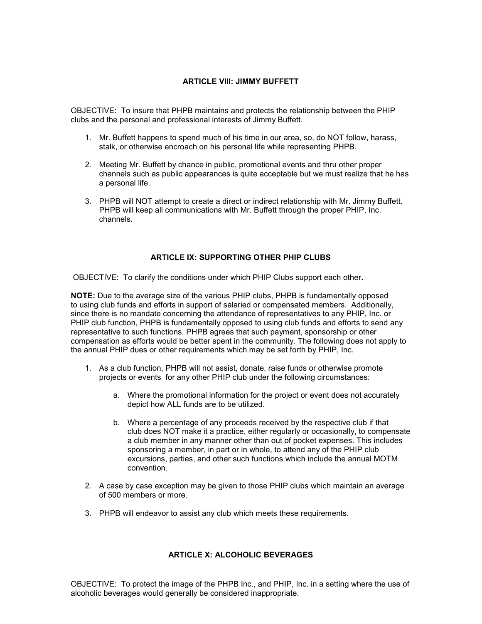# **ARTICLE VIII: JIMMY BUFFETT**

OBJECTIVE: To insure that PHPB maintains and protects the relationship between the PHIP clubs and the personal and professional interests of Jimmy Buffett.

- 1. Mr. Buffett happens to spend much of his time in our area, so, do NOT follow, harass, stalk, or otherwise encroach on his personal life while representing PHPB.
- 2. Meeting Mr. Buffett by chance in public, promotional events and thru other proper channels such as public appearances is quite acceptable but we must realize that he has a personal life.
- 3. PHPB will NOT attempt to create a direct or indirect relationship with Mr. Jimmy Buffett. PHPB will keep all communications with Mr. Buffett through the proper PHIP, Inc. channels.

#### **ARTICLE IX: SUPPORTING OTHER PHIP CLUBS**

OBJECTIVE: To clarify the conditions under which PHIP Clubs support each other**.** 

**NOTE:** Due to the average size of the various PHIP clubs, PHPB is fundamentally opposed to using club funds and efforts in support of salaried or compensated members. Additionally, since there is no mandate concerning the attendance of representatives to any PHIP, Inc. or PHIP club function, PHPB is fundamentally opposed to using club funds and efforts to send any representative to such functions. PHPB agrees that such payment, sponsorship or other compensation as efforts would be better spent in the community. The following does not apply to the annual PHIP dues or other requirements which may be set forth by PHIP, Inc.

- 1. As a club function, PHPB will not assist, donate, raise funds or otherwise promote projects or events for any other PHIP club under the following circumstances:
	- a. Where the promotional information for the project or event does not accurately depict how ALL funds are to be utilized.
	- b. Where a percentage of any proceeds received by the respective club if that club does NOT make it a practice, either regularly or occasionally, to compensate a club member in any manner other than out of pocket expenses. This includes sponsoring a member, in part or in whole, to attend any of the PHIP club excursions, parties, and other such functions which include the annual MOTM convention.
- 2. A case by case exception may be given to those PHIP clubs which maintain an average of 500 members or more.
- 3. PHPB will endeavor to assist any club which meets these requirements.

# **ARTICLE X: ALCOHOLIC BEVERAGES**

OBJECTIVE: To protect the image of the PHPB Inc., and PHIP, Inc. in a setting where the use of alcoholic beverages would generally be considered inappropriate.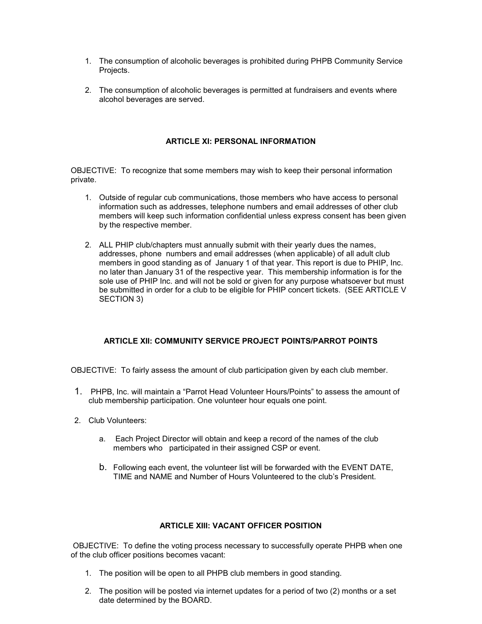- 1. The consumption of alcoholic beverages is prohibited during PHPB Community Service Projects.
- 2. The consumption of alcoholic beverages is permitted at fundraisers and events where alcohol beverages are served.

#### **ARTICLE XI: PERSONAL INFORMATION**

OBJECTIVE: To recognize that some members may wish to keep their personal information private.

- 1. Outside of regular cub communications, those members who have access to personal information such as addresses, telephone numbers and email addresses of other club members will keep such information confidential unless express consent has been given by the respective member.
- 2. ALL PHIP club/chapters must annually submit with their yearly dues the names, addresses, phone numbers and email addresses (when applicable) of all adult club members in good standing as of January 1 of that year. This report is due to PHIP, Inc. no later than January 31 of the respective year. This membership information is for the sole use of PHIP Inc. and will not be sold or given for any purpose whatsoever but must be submitted in order for a club to be eligible for PHIP concert tickets. (SEE ARTICLE V SECTION 3)

# **ARTICLE XII: COMMUNITY SERVICE PROJECT POINTS/PARROT POINTS**

OBJECTIVE: To fairly assess the amount of club participation given by each club member.

- 1. PHPB, Inc. will maintain a "Parrot Head Volunteer Hours/Points" to assess the amount of club membership participation. One volunteer hour equals one point.
- 2. Club Volunteers:
	- a. Each Project Director will obtain and keep a record of the names of the club members who participated in their assigned CSP or event.
	- b. Following each event, the volunteer list will be forwarded with the EVENT DATE, TIME and NAME and Number of Hours Volunteered to the club's President.

#### **ARTICLE XIII: VACANT OFFICER POSITION**

 OBJECTIVE: To define the voting process necessary to successfully operate PHPB when one of the club officer positions becomes vacant:

- 1. The position will be open to all PHPB club members in good standing.
- 2. The position will be posted via internet updates for a period of two (2) months or a set date determined by the BOARD.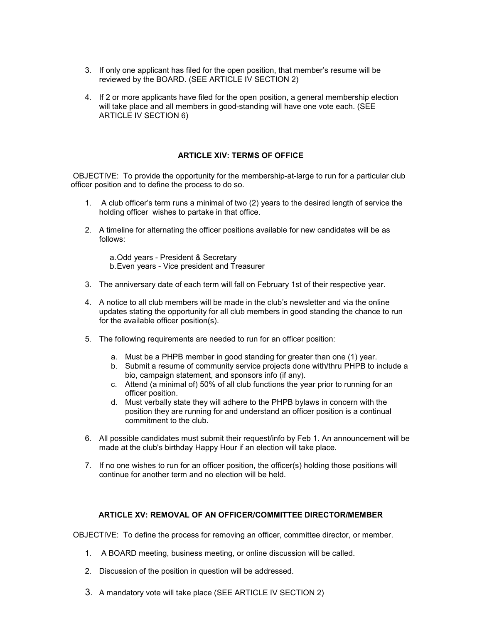- 3. If only one applicant has filed for the open position, that member's resume will be reviewed by the BOARD. (SEE ARTICLE IV SECTION 2)
- 4. If 2 or more applicants have filed for the open position, a general membership election will take place and all members in good-standing will have one vote each. (SEE ARTICLE IV SECTION 6)

# **ARTICLE XIV: TERMS OF OFFICE**

 OBJECTIVE: To provide the opportunity for the membership-at-large to run for a particular club officer position and to define the process to do so.

- 1. A club officer's term runs a minimal of two (2) years to the desired length of service the holding officer wishes to partake in that office.
- 2. A timeline for alternating the officer positions available for new candidates will be as follows:

a. Odd years - President & Secretary b. Even years - Vice president and Treasurer

- 3. The anniversary date of each term will fall on February 1st of their respective year.
- 4. A notice to all club members will be made in the club's newsletter and via the online updates stating the opportunity for all club members in good standing the chance to run for the available officer position(s).
- 5. The following requirements are needed to run for an officer position:
	- a. Must be a PHPB member in good standing for greater than one (1) year.
	- b. Submit a resume of community service projects done with/thru PHPB to include a bio, campaign statement, and sponsors info (if any).
	- c. Attend (a minimal of) 50% of all club functions the year prior to running for an officer position.
	- d. Must verbally state they will adhere to the PHPB bylaws in concern with the position they are running for and understand an officer position is a continual commitment to the club.
- 6. All possible candidates must submit their request/info by Feb 1. An announcement will be made at the club's birthday Happy Hour if an election will take place.
- 7. If no one wishes to run for an officer position, the officer(s) holding those positions will continue for another term and no election will be held.

#### **ARTICLE XV: REMOVAL OF AN OFFICER/COMMITTEE DIRECTOR/MEMBER**

OBJECTIVE: To define the process for removing an officer, committee director, or member.

- 1. A BOARD meeting, business meeting, or online discussion will be called.
- 2. Discussion of the position in question will be addressed.
- 3. A mandatory vote will take place (SEE ARTICLE IV SECTION 2)